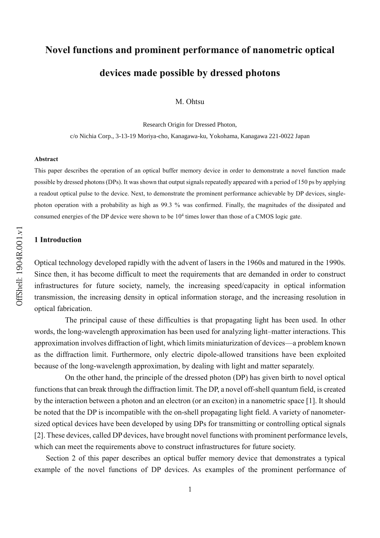# **Novel functions and prominent performance of nanometric optical devices made possible by dressed photons**

M. Ohtsu

Research Origin for Dressed Photon,

c/o Nichia Corp., 3-13-19 Moriya-cho, Kanagawa-ku, Yokohama, Kanagawa 221-0022 Japan

#### **Abstract**

This paper describes the operation of an optical buffer memory device in order to demonstrate a novel function made possible by dressed photons (DPs). It was shown that output signals repeatedly appeared with a period of 150 ps by applying a readout optical pulse to the device. Next, to demonstrate the prominent performance achievable by DP devices, singlephoton operation with a probability as high as 99.3 % was confirmed. Finally, the magnitudes of the dissipated and consumed energies of the DP device were shown to be  $10<sup>4</sup>$  times lower than those of a CMOS logic gate.

## **1 Introduction**

Optical technology developed rapidly with the advent of lasers in the 1960s and matured in the 1990s. Since then, it has become difficult to meet the requirements that are demanded in order to construct infrastructures for future society, namely, the increasing speed/capacity in optical information transmission, the increasing density in optical information storage, and the increasing resolution in optical fabrication.

The principal cause of these difficulties is that propagating light has been used. In other words, the long-wavelength approximation has been used for analyzing light–matter interactions. This approximation involves diffraction of light, which limits miniaturization of devices—a problem known as the diffraction limit. Furthermore, only electric dipole-allowed transitions have been exploited because of the long-wavelength approximation, by dealing with light and matter separately.

On the other hand, the principle of the dressed photon (DP) has given birth to novel optical functions that can break through the diffraction limit. The DP, a novel off-shell quantum field, is created by the interaction between a photon and an electron (or an exciton) in a nanometric space [1]. It should be noted that the DP is incompatible with the on-shell propagating light field. A variety of nanometersized optical devices have been developed by using DPs for transmitting or controlling optical signals [2]. These devices, called DP devices, have brought novel functions with prominent performance levels, which can meet the requirements above to construct infrastructures for future society.

Section 2 of this paper describes an optical buffer memory device that demonstrates a typical example of the novel functions of DP devices. As examples of the prominent performance of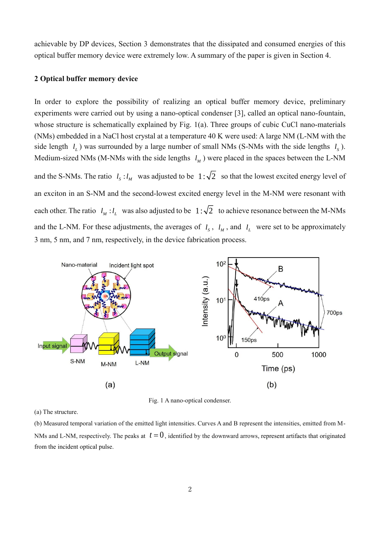achievable by DP devices, Section 3 demonstrates that the dissipated and consumed energies of this optical buffer memory device were extremely low. A summary of the paper is given in Section 4.

#### **2 Optical buffer memory device**

In order to explore the possibility of realizing an optical buffer memory device, preliminary experiments were carried out by using a nano-optical condenser [3], called an optical nano-fountain, whose structure is schematically explained by Fig. 1(a). Three groups of cubic CuCl nano-materials (NMs) embedded in a NaCl host crystal at a temperature 40 K were used: A large NM (L-NM with the side length  $l_L$ ) was surrounded by a large number of small NMs (S-NMs with the side lengths  $l_s$ ). Medium-sized NMs (M-NMs with the side lengths  $l_M$ ) were placed in the spaces between the L-NM and the S-NMs. The ratio  $l_s: l_M$  was adjusted to be  $1:\sqrt{2}$  so that the lowest excited energy level of an exciton in an S-NM and the second-lowest excited energy level in the M-NM were resonant with each other. The ratio  $l_M : l_L$  was also adjusted to be  $1:\sqrt{2}$  to achieve resonance between the M-NMs and the L-NM. For these adjustments, the averages of  $l_s$ ,  $l_M$ , and  $l_L$  were set to be approximately 3 nm, 5 nm, and 7 nm, respectively, in the device fabrication process.



Fig. 1 A nano-optical condenser.

(a) The structure.

(b) Measured temporal variation of the emitted light intensities. Curves A and B represent the intensities, emitted from M-NMs and L-NM, respectively. The peaks at  $t = 0$ , identified by the downward arrows, represent artifacts that originated from the incident optical pulse.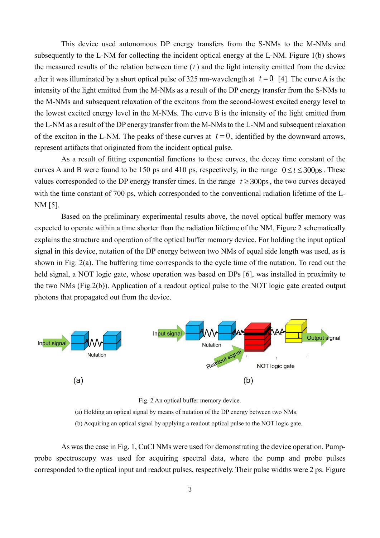This device used autonomous DP energy transfers from the S-NMs to the M-NMs and subsequently to the L-NM for collecting the incident optical energy at the L-NM. Figure 1(b) shows the measured results of the relation between time  $(t)$  and the light intensity emitted from the device after it was illuminated by a short optical pulse of 325 nm-wavelength at  $t = 0$  [4]. The curve A is the intensity of the light emitted from the M-NMs as a result of the DP energy transfer from the S-NMs to the M-NMs and subsequent relaxation of the excitons from the second-lowest excited energy level to the lowest excited energy level in the M-NMs. The curve B is the intensity of the light emitted from the L-NM as a result of the DP energy transfer from the M-NMs to the L-NM and subsequent relaxation of the exciton in the L-NM. The peaks of these curves at  $t = 0$ , identified by the downward arrows, represent artifacts that originated from the incident optical pulse.

As a result of fitting exponential functions to these curves, the decay time constant of the curves A and B were found to be 150 ps and 410 ps, respectively, in the range  $0 \le t \le 300$ ps. These values corresponded to the DP energy transfer times. In the range  $t \geq 300 \text{ps}$ , the two curves decayed with the time constant of 700 ps, which corresponded to the conventional radiation lifetime of the L-NM [5].

Based on the preliminary experimental results above, the novel optical buffer memory was expected to operate within a time shorter than the radiation lifetime of the NM. Figure 2 schematically explains the structure and operation of the optical buffer memory device. For holding the input optical signal in this device, nutation of the DP energy between two NMs of equal side length was used, as is shown in Fig. 2(a). The buffering time corresponds to the cycle time of the nutation. To read out the held signal, a NOT logic gate, whose operation was based on DPs [6], was installed in proximity to the two NMs (Fig.2(b)). Application of a readout optical pulse to the NOT logic gate created output photons that propagated out from the device.



Fig. 2 An optical buffer memory device.

(a) Holding an optical signal by means of nutation of the DP energy between two NMs.

(b) Acquiring an optical signal by applying a readout optical pulse to the NOT logic gate.

As was the case in Fig. 1, CuCl NMs were used for demonstrating the device operation. Pumpprobe spectroscopy was used for acquiring spectral data, where the pump and probe pulses corresponded to the optical input and readout pulses, respectively. Their pulse widths were 2 ps. Figure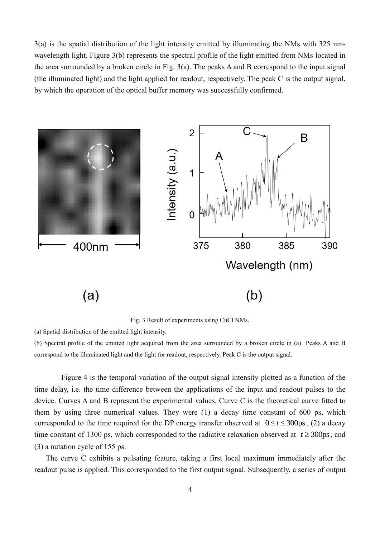3(a) is the spatial distribution of the light intensity emitted by illuminating the NMs with 325 nmwavelength light. Figure 3(b) represents the spectral profile of the light emitted from NMs located in the area surrounded by a broken circle in Fig. 3(a). The peaks A and B correspond to the input signal (the illuminated light) and the light applied for readout, respectively. The peak C is the output signal, by which the operation of the optical buffer memory was successfully confirmed.



Fig. 3 Result of experiments using CuCl NMs.

(a) Spatial distribution of the emitted light intensity.

(b) Spectral profile of the emitted light acquired from the area surrounded by a broken circle in (a). Peaks A and B correspond to the illuminated light and the light for readout, respectively. Peak C is the output signal.

Figure 4 is the temporal variation of the output signal intensity plotted as a function of the time delay, i.e. the time difference between the applications of the input and readout pulses to the device. Curves A and B represent the experimental values. Curve C is the theoretical curve fitted to them by using three numerical values. They were (1) a decay time constant of 600 ps, which corresponded to the time required for the DP energy transfer observed at  $0 \le t \le 300 \text{ps}$ , (2) a decay time constant of 1300 ps, which corresponded to the radiative relaxation observed at  $t \ge 300$ ps, and (3) a nutation cycle of 155 ps.

The curve C exhibits a pulsating feature, taking a first local maximum immediately after the readout pulse is applied. This corresponded to the first output signal. Subsequently, a series of output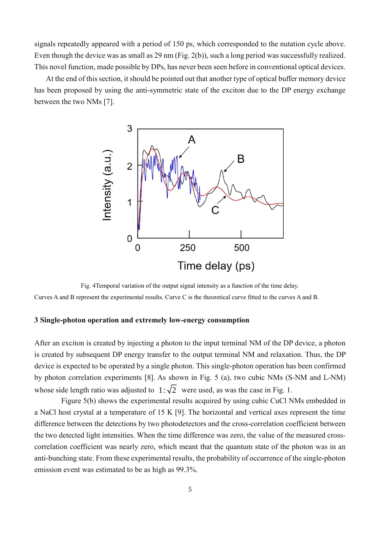signals repeatedly appeared with a period of 150 ps, which corresponded to the nutation cycle above. Even though the device was as small as 29 nm (Fig. 2(b)), such a long period was successfully realized. This novel function, made possible by DPs, has never been seen before in conventional optical devices.

At the end of this section, it should be pointed out that another type of optical buffer memory device has been proposed by using the anti-symmetric state of the exciton due to the DP energy exchange between the two NMs [7].



Fig. 4Temporal variation of the output signal intensity as a function of the time delay. Curves A and B represent the experimental results. Curve C is the theoretical curve fitted to the curves A and B.

## **3 Single-photon operation and extremely low-energy consumption**

After an exciton is created by injecting a photon to the input terminal NM of the DP device, a photon is created by subsequent DP energy transfer to the output terminal NM and relaxation. Thus, the DP device is expected to be operated by a single photon. This single-photon operation has been confirmed by photon correlation experiments [8]. As shown in Fig. 5 (a), two cubic NMs (S-NM and L-NM) whose side length ratio was adjusted to  $1:\sqrt{2}$  were used, as was the case in Fig. 1.

Figure 5(b) shows the experimental results acquired by using cubic CuCl NMs embedded in a NaCl host crystal at a temperature of 15 K [9]. The horizontal and vertical axes represent the time difference between the detections by two photodetectors and the cross-correlation coefficient between the two detected light intensities. When the time difference was zero, the value of the measured crosscorrelation coefficient was nearly zero, which meant that the quantum state of the photon was in an anti-bunching state. From these experimental results, the probability of occurrence of the single-photon emission event was estimated to be as high as 99.3%.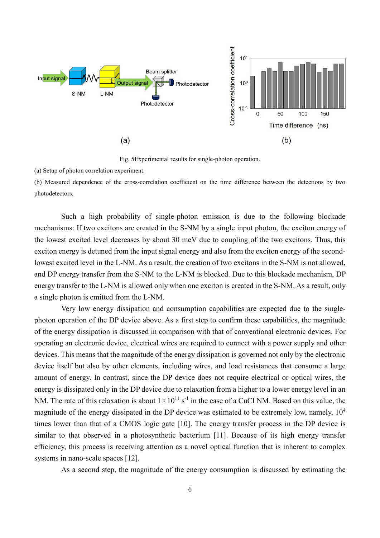

Fig. 5Experimental results for single-photon operation.

(a) Setup of photon correlation experiment.

(b) Measured dependence of the cross-correlation coefficient on the time difference between the detections by two photodetectors.

Such a high probability of single-photon emission is due to the following blockade mechanisms: If two excitons are created in the S-NM by a single input photon, the exciton energy of the lowest excited level decreases by about 30 meV due to coupling of the two excitons. Thus, this exciton energy is detuned from the input signal energy and also from the exciton energy of the secondlowest excited level in the L-NM. As a result, the creation of two excitons in the S-NM is not allowed, and DP energy transfer from the S-NM to the L-NM is blocked. Due to this blockade mechanism, DP energy transfer to the L-NM is allowed only when one exciton is created in the S-NM. As a result, only a single photon is emitted from the L-NM.

Very low energy dissipation and consumption capabilities are expected due to the singlephoton operation of the DP device above. As a first step to confirm these capabilities, the magnitude of the energy dissipation is discussed in comparison with that of conventional electronic devices. For operating an electronic device, electrical wires are required to connect with a power supply and other devices. This means that the magnitude of the energy dissipation is governed not only by the electronic device itself but also by other elements, including wires, and load resistances that consume a large amount of energy. In contrast, since the DP device does not require electrical or optical wires, the energy is dissipated only in the DP device due to relaxation from a higher to a lower energy level in an NM. The rate of this relaxation is about  $1 \times 10^{11}$  s<sup>-1</sup> in the case of a CuCl NM. Based on this value, the magnitude of the energy dissipated in the DP device was estimated to be extremely low, namely,  $10<sup>4</sup>$ times lower than that of a CMOS logic gate [10]. The energy transfer process in the DP device is similar to that observed in a photosynthetic bacterium [11]. Because of its high energy transfer efficiency, this process is receiving attention as a novel optical function that is inherent to complex systems in nano-scale spaces [12].

As a second step, the magnitude of the energy consumption is discussed by estimating the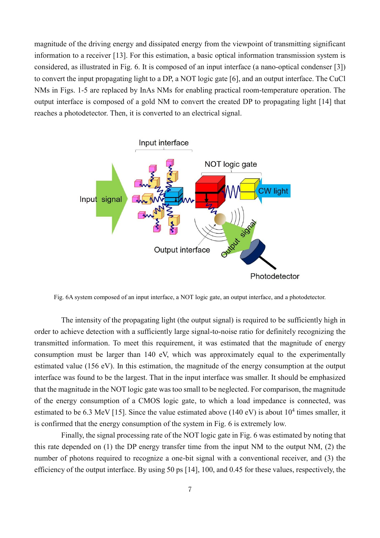magnitude of the driving energy and dissipated energy from the viewpoint of transmitting significant information to a receiver [13]. For this estimation, a basic optical information transmission system is considered, as illustrated in Fig. 6. It is composed of an input interface (a nano-optical condenser [3]) to convert the input propagating light to a DP, a NOT logic gate [6], and an output interface. The CuCl NMs in Figs. 1-5 are replaced by InAs NMs for enabling practical room-temperature operation. The output interface is composed of a gold NM to convert the created DP to propagating light [14] that reaches a photodetector. Then, it is converted to an electrical signal.



Fig. 6A system composed of an input interface, a NOT logic gate, an output interface, and a photodetector.

The intensity of the propagating light (the output signal) is required to be sufficiently high in order to achieve detection with a sufficiently large signal-to-noise ratio for definitely recognizing the transmitted information. To meet this requirement, it was estimated that the magnitude of energy consumption must be larger than 140 eV, which was approximately equal to the experimentally estimated value (156 eV). In this estimation, the magnitude of the energy consumption at the output interface was found to be the largest. That in the input interface was smaller. It should be emphasized that the magnitude in the NOT logic gate was too small to be neglected. For comparison, the magnitude of the energy consumption of a CMOS logic gate, to which a load impedance is connected, was estimated to be 6.3 MeV [15]. Since the value estimated above (140 eV) is about  $10^4$  times smaller, it is confirmed that the energy consumption of the system in Fig. 6 is extremely low.

Finally, the signal processing rate of the NOT logic gate in Fig. 6 was estimated by noting that this rate depended on (1) the DP energy transfer time from the input NM to the output NM, (2) the number of photons required to recognize a one-bit signal with a conventional receiver, and (3) the efficiency of the output interface. By using 50 ps [14], 100, and 0.45 for these values, respectively, the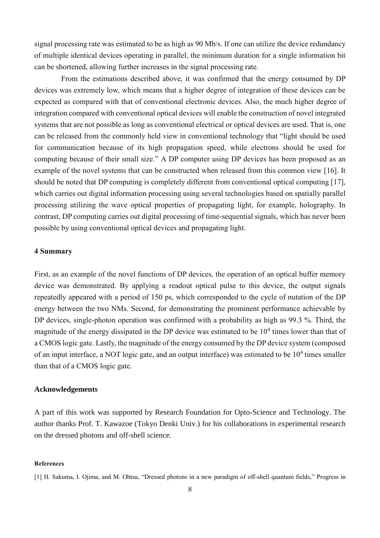signal processing rate was estimated to be as high as 90 Mb/s. If one can utilize the device redundancy of multiple identical devices operating in parallel, the minimum duration for a single information bit can be shortened, allowing further increases in the signal processing rate.

From the estimations described above, it was confirmed that the energy consumed by DP devices was extremely low, which means that a higher degree of integration of these devices can be expected as compared with that of conventional electronic devices. Also, the much higher degree of integration compared with conventional optical devices will enable the construction of novel integrated systems that are not possible as long as conventional electrical or optical devices are used. That is, one can be released from the commonly held view in conventional technology that "light should be used for communication because of its high propagation speed, while electrons should be used for computing because of their small size." A DP computer using DP devices has been proposed as an example of the novel systems that can be constructed when released from this common view [16]. It should be noted that DP computing is completely different from conventional optical computing [17], which carries out digital information processing using several technologies based on spatially parallel processing utilizing the wave optical properties of propagating light, for example, holography. In contrast, DP computing carries out digital processing of time-sequential signals, which has never been possible by using conventional optical devices and propagating light.

# **4 Summary**

First, as an example of the novel functions of DP devices, the operation of an optical buffer memory device was demonstrated. By applying a readout optical pulse to this device, the output signals repeatedly appeared with a period of 150 ps, which corresponded to the cycle of nutation of the DP energy between the two NMs. Second, for demonstrating the prominent performance achievable by DP devices, single-photon operation was confirmed with a probability as high as 99.3 %. Third, the magnitude of the energy dissipated in the DP device was estimated to be  $10<sup>4</sup>$  times lower than that of a CMOS logic gate. Lastly, the magnitude of the energy consumed by the DP device system (composed of an input interface, a NOT logic gate, and an output interface) was estimated to be  $10^4$  times smaller than that of a CMOS logic gate.

### **Acknowledgements**

A part of this work was supported by Research Foundation for Opto-Science and Technology. The author thanks Prof. T. Kawazoe (Tokyo Denki Univ.) for his collaborations in experimental research on the dressed photons and off-shell science.

#### **References**

<sup>[1]</sup> H. Sakuma, I. Ojima, and M. Ohtsu, "Dressed photons in a new paradigm of off-shell quantum fields," Progress in